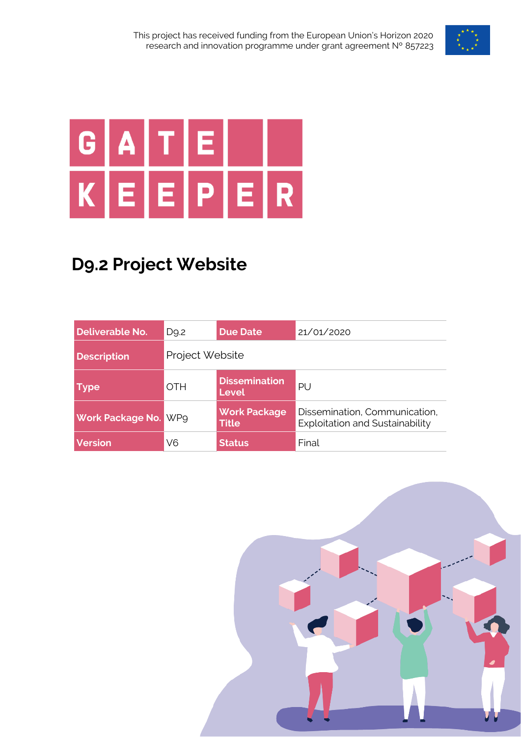

# G A  $K|E|$  $E[P]E[R]$

## **D9.2 Project Website**

| Deliverable No.         | D <sub>9</sub> .2 | <b>Due Date</b>                      | 21/01/2020                                                       |  |
|-------------------------|-------------------|--------------------------------------|------------------------------------------------------------------|--|
| <b>Description</b>      | Project Website   |                                      |                                                                  |  |
| <b>Type</b>             | <b>OTH</b>        | <b>Dissemination</b><br><b>Level</b> | PU                                                               |  |
| <b>Work Package No.</b> | <b>WP9</b>        | <b>Work Package</b><br><b>Title</b>  | Dissemination, Communication,<br>Exploitation and Sustainability |  |
| <b>Version</b>          | V6                | <b>Status</b>                        | Final                                                            |  |

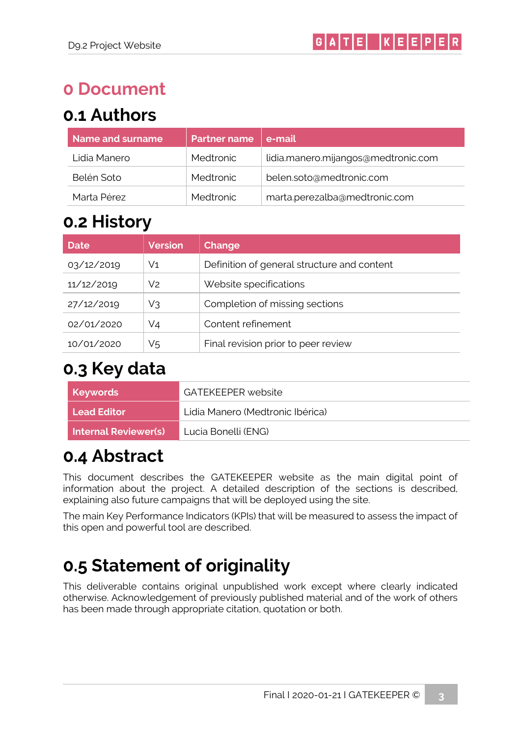## **0 Document**

## **0.1 Authors**

| Name and surname | <b>Partner name</b> | e-mail                              |
|------------------|---------------------|-------------------------------------|
| Lidia Manero     | Medtronic           | lidia.manero.mijangos@medtronic.com |
| Belén Soto       | Medtronic           | belen.soto@medtronic.com            |
| Marta Pérez      | <b>Medtronic</b>    | marta.perezalba@medtronic.com       |

## **0.2 History**

| <b>Date</b> | <b>Version</b> | <b>Change</b>                               |
|-------------|----------------|---------------------------------------------|
| 03/12/2019  | V1             | Definition of general structure and content |
| 11/12/2019  | V2             | Website specifications                      |
| 27/12/2019  | V3             | Completion of missing sections              |
| 02/01/2020  | V4             | Content refinement                          |
| 10/01/2020  | V5             | Final revision prior to peer review         |

### **0.3 Key data**

| Keywords                    | GATFKFFPFR website               |
|-----------------------------|----------------------------------|
| <b>Lead Editor</b>          | Lidia Manero (Medtronic Ibérica) |
| <b>Internal Reviewer(s)</b> | Lucia Bonelli (ENG)              |

## **0.4 Abstract**

This document describes the GATEKEEPER website as the main digital point of information about the project. A detailed description of the sections is described, explaining also future campaigns that will be deployed using the site.

The main Key Performance Indicators (KPIs) that will be measured to assess the impact of this open and powerful tool are described.

## **0.5 Statement of originality**

This deliverable contains original unpublished work except where clearly indicated otherwise. Acknowledgement of previously published material and of the work of others has been made through appropriate citation, quotation or both.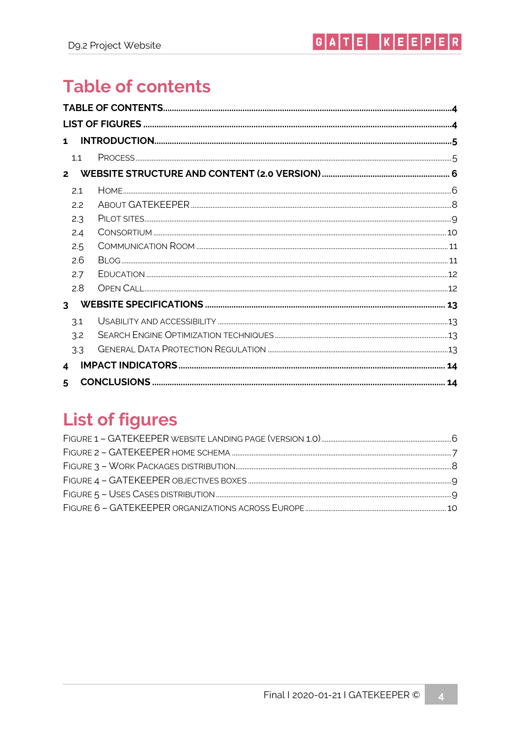## <span id="page-3-0"></span>**Table of contents**

| $\mathbf{1}$   |  |
|----------------|--|
| 1.1            |  |
| $\overline{2}$ |  |
| 2.1            |  |
| 2.2            |  |
| 2.3            |  |
| 2.4            |  |
| 2.5            |  |
| 2.6            |  |
| 2.7            |  |
| 2.8            |  |
| $\overline{3}$ |  |
| 3.1            |  |
| 3.2            |  |
| 3.3            |  |
| 4              |  |
| 5              |  |

## <span id="page-3-1"></span>**List of figures**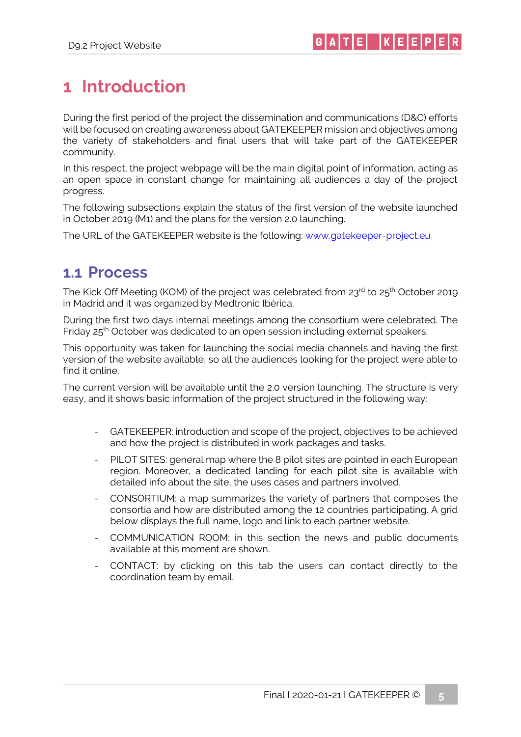## <span id="page-4-0"></span>**1 Introduction**

During the first period of the project the dissemination and communications (D&C) efforts will be focused on creating awareness about GATEKEEPER mission and objectives among the variety of stakeholders and final users that will take part of the GATEKEEPER community.

In this respect, the project webpage will be the main digital point of information, acting as an open space in constant change for maintaining all audiences a day of the project progress.

The following subsections explain the status of the first version of the website launched in October 2019 (M1) and the plans for the version 2.0 launching.

The URL of the GATEKEEPER website is the following: [www.gatekeeper-project.eu](http://www.gatekeeper-project.eu/)

#### <span id="page-4-1"></span>**1.1 Process**

The Kick Off Meeting (KOM) of the project was celebrated from 23rd to 25<sup>th</sup> October 2019 in Madrid and it was organized by Medtronic Ibérica.

During the first two days internal meetings among the consortium were celebrated. The Friday 25th October was dedicated to an open session including external speakers.

This opportunity was taken for launching the social media channels and having the first version of the website available, so all the audiences looking for the project were able to find it online.

The current version will be available until the 2.0 version launching. The structure is very easy, and it shows basic information of the project structured in the following way:

- GATEKEEPER: introduction and scope of the project, objectives to be achieved and how the project is distributed in work packages and tasks.
- PILOT SITES: general map where the 8 pilot sites are pointed in each European region. Moreover, a dedicated landing for each pilot site is available with detailed info about the site, the uses cases and partners involved.
- CONSORTIUM: a map summarizes the variety of partners that composes the consortia and how are distributed among the 12 countries participating. A grid below displays the full name, logo and link to each partner website.
- COMMUNICATION ROOM: in this section the news and public documents available at this moment are shown.
- CONTACT: by clicking on this tab the users can contact directly to the coordination team by email.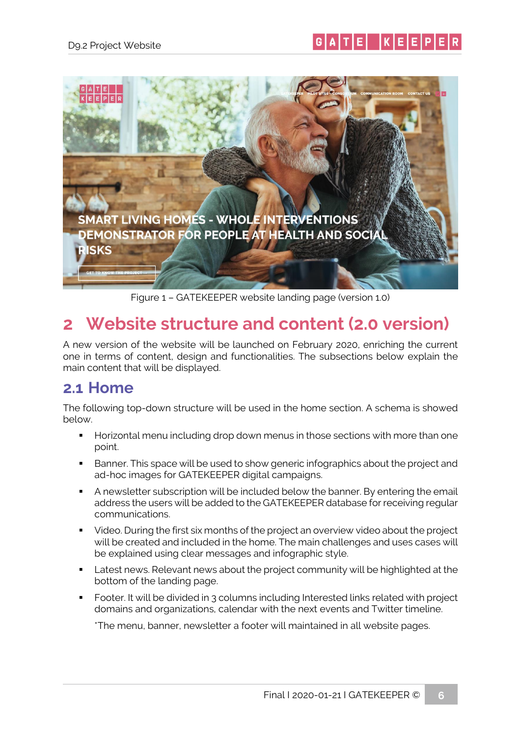



Figure 1 – GATEKEEPER website landing page (version 1.0)

## <span id="page-5-2"></span><span id="page-5-0"></span>**2 Website structure and content (2.0 version)**

A new version of the website will be launched on February 2020, enriching the current one in terms of content, design and functionalities. The subsections below explain the main content that will be displayed.

#### <span id="page-5-1"></span>**2.1 Home**

The following top-down structure will be used in the home section. A schema is showed below.

- Horizontal menu including drop down menus in those sections with more than one point.
- Banner. This space will be used to show generic infographics about the project and ad-hoc images for GATEKEEPER digital campaigns.
- A newsletter subscription will be included below the banner. By entering the email address the users will be added to the GATEKEEPER database for receiving regular communications.
- Video. During the first six months of the project an overview video about the project will be created and included in the home. The main challenges and uses cases will be explained using clear messages and infographic style.
- Latest news. Relevant news about the project community will be highlighted at the bottom of the landing page.
- Footer. It will be divided in 3 columns including Interested links related with project domains and organizations, calendar with the next events and Twitter timeline.

\*The menu, banner, newsletter a footer will maintained in all website pages.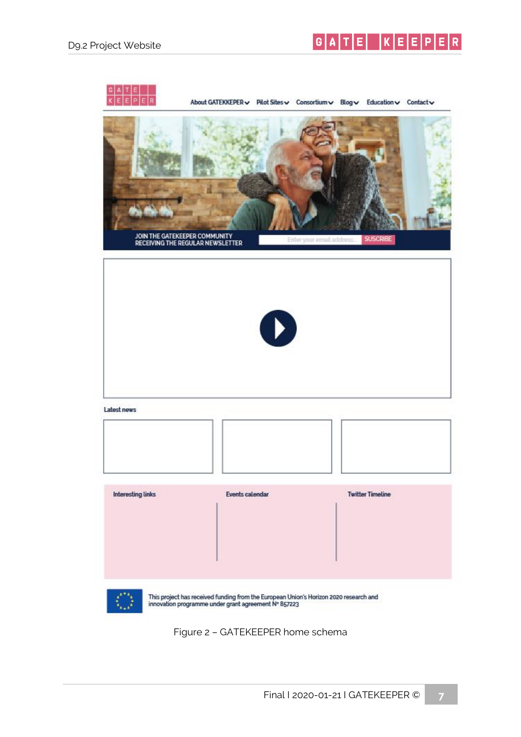$G[A|T]E$   $K[E]E]P[E]R$ 



<span id="page-6-0"></span>Figure 2 – GATEKEEPER home schema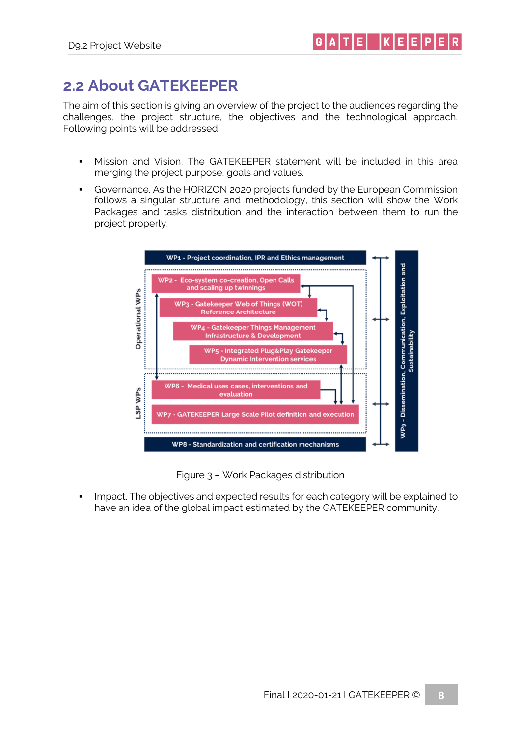#### <span id="page-7-0"></span>**2.2 About GATEKEEPER**

The aim of this section is giving an overview of the project to the audiences regarding the challenges, the project structure, the objectives and the technological approach. Following points will be addressed:

- Mission and Vision. The GATEKEEPER statement will be included in this area merging the project purpose, goals and values.
- Governance. As the HORIZON 2020 projects funded by the European Commission follows a singular structure and methodology, this section will show the Work Packages and tasks distribution and the interaction between them to run the project properly.



Figure 3 – Work Packages distribution

<span id="page-7-1"></span>Impact. The objectives and expected results for each category will be explained to have an idea of the global impact estimated by the GATEKEEPER community.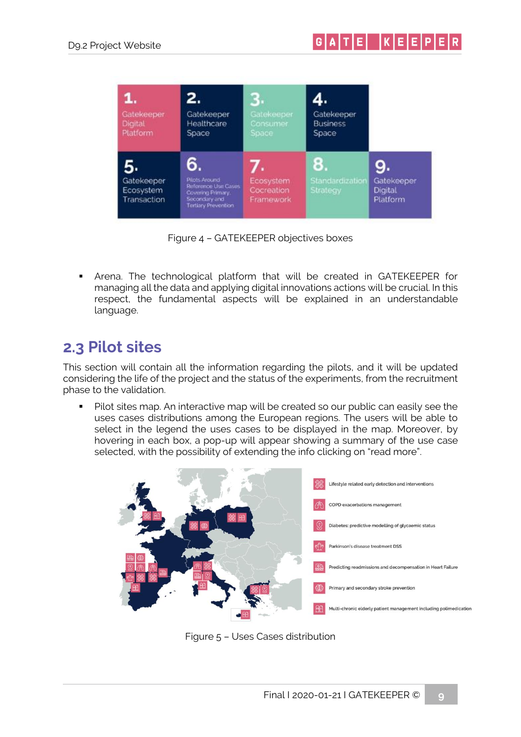

Figure 4 – GATEKEEPER objectives boxes

<span id="page-8-1"></span>▪ Arena. The technological platform that will be created in GATEKEEPER for managing all the data and applying digital innovations actions will be crucial. In this respect, the fundamental aspects will be explained in an understandable language.

#### <span id="page-8-0"></span>**2.3 Pilot sites**

This section will contain all the information regarding the pilots, and it will be updated considering the life of the project and the status of the experiments, from the recruitment phase to the validation.

■ Pilot sites map. An interactive map will be created so our public can easily see the uses cases distributions among the European regions. The users will be able to select in the legend the uses cases to be displayed in the map. Moreover, by hovering in each box, a pop-up will appear showing a summary of the use case selected, with the possibility of extending the info clicking on "read more".



<span id="page-8-2"></span>Figure 5 – Uses Cases distribution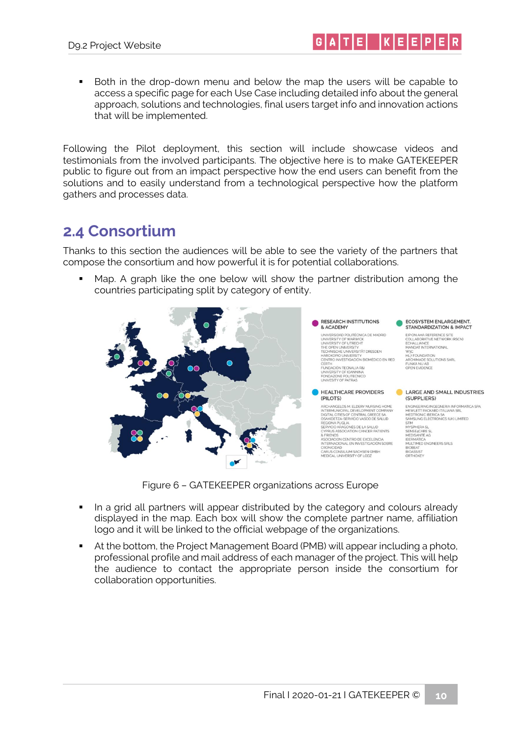■ Both in the drop-down menu and below the map the users will be capable to access a specific page for each Use Case including detailed info about the general approach, solutions and technologies, final users target info and innovation actions that will be implemented.

 $|G|A|T|E|$   $|K|E|E|P|E$ 

Following the Pilot deployment, this section will include showcase videos and testimonials from the involved participants. The objective here is to make GATEKEEPER public to figure out from an impact perspective how the end users can benefit from the solutions and to easily understand from a technological perspective how the platform gathers and processes data.

#### <span id="page-9-0"></span>**2.4 Consortium**

Thanks to this section the audiences will be able to see the variety of the partners that compose the consortium and how powerful it is for potential collaborations.

■ Map. A graph like the one below will show the partner distribution among the countries participating split by category of entity.



Figure 6 – GATEKEEPER organizations across Europe

- <span id="page-9-1"></span>■ In a grid all partners will appear distributed by the category and colours already displayed in the map. Each box will show the complete partner name, affiliation logo and it will be linked to the official webpage of the organizations.
- **•** At the bottom, the Project Management Board (PMB) will appear including a photo, professional profile and mail address of each manager of the project. This will help the audience to contact the appropriate person inside the consortium for collaboration opportunities.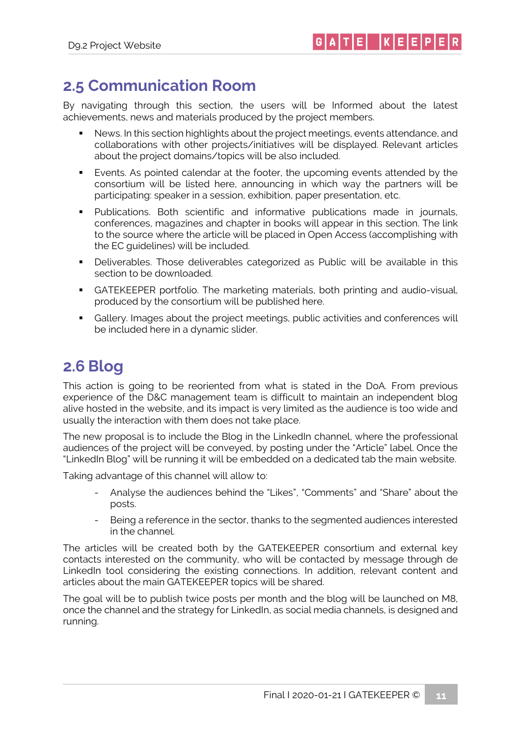#### <span id="page-10-0"></span>**2.5 Communication Room**

By navigating through this section, the users will be Informed about the latest achievements, news and materials produced by the project members.

- News. In this section highlights about the project meetings, events attendance, and collaborations with other projects/initiatives will be displayed. Relevant articles about the project domains/topics will be also included.
- Events. As pointed calendar at the footer, the upcoming events attended by the consortium will be listed here, announcing in which way the partners will be participating: speaker in a session, exhibition, paper presentation, etc.
- Publications. Both scientific and informative publications made in journals, conferences, magazines and chapter in books will appear in this section. The link to the source where the article will be placed in Open Access (accomplishing with the EC guidelines) will be included.
- Deliverables. Those deliverables categorized as Public will be available in this section to be downloaded.
- **•** GATEKEEPER portfolio. The marketing materials, both printing and audio-visual, produced by the consortium will be published here.
- Gallery. Images about the project meetings, public activities and conferences will be included here in a dynamic slider.

#### <span id="page-10-1"></span>**2.6 Blog**

This action is going to be reoriented from what is stated in the DoA. From previous experience of the D&C management team is difficult to maintain an independent blog alive hosted in the website, and its impact is very limited as the audience is too wide and usually the interaction with them does not take place.

The new proposal is to include the Blog in the LinkedIn channel, where the professional audiences of the project will be conveyed, by posting under the "Article" label. Once the "LinkedIn Blog" will be running it will be embedded on a dedicated tab the main website.

Taking advantage of this channel will allow to:

- Analyse the audiences behind the "Likes", "Comments" and "Share" about the posts.
- Being a reference in the sector, thanks to the segmented audiences interested in the channel.

The articles will be created both by the GATEKEEPER consortium and external key contacts interested on the community, who will be contacted by message through de LinkedIn tool considering the existing connections. In addition, relevant content and articles about the main GATEKEEPER topics will be shared.

The goal will be to publish twice posts per month and the blog will be launched on M8, once the channel and the strategy for LinkedIn, as social media channels, is designed and running.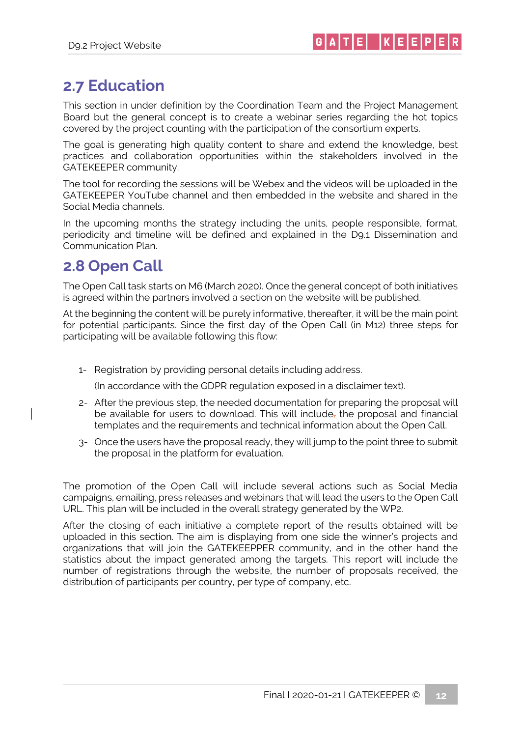#### <span id="page-11-0"></span>**2.7 Education**

This section in under definition by the Coordination Team and the Project Management Board but the general concept is to create a webinar series regarding the hot topics covered by the project counting with the participation of the consortium experts.

The goal is generating high quality content to share and extend the knowledge, best practices and collaboration opportunities within the stakeholders involved in the GATEKEEPER community.

The tool for recording the sessions will be Webex and the videos will be uploaded in the GATEKEEPER YouTube channel and then embedded in the website and shared in the Social Media channels.

In the upcoming months the strategy including the units, people responsible, format, periodicity and timeline will be defined and explained in the D9.1 Dissemination and Communication Plan.

#### <span id="page-11-1"></span>**2.8 Open Call**

The Open Call task starts on M6 (March 2020). Once the general concept of both initiatives is agreed within the partners involved a section on the website will be published.

At the beginning the content will be purely informative, thereafter, it will be the main point for potential participants. Since the first day of the Open Call (in M12) three steps for participating will be available following this flow:

1- Registration by providing personal details including address.

(In accordance with the GDPR regulation exposed in a disclaimer text).

- 2- After the previous step, the needed documentation for preparing the proposal will be available for users to download. This will include, the proposal and financial templates and the requirements and technical information about the Open Call.
- 3- Once the users have the proposal ready, they will jump to the point three to submit the proposal in the platform for evaluation.

The promotion of the Open Call will include several actions such as Social Media campaigns, emailing, press releases and webinars that will lead the users to the Open Call URL. This plan will be included in the overall strategy generated by the WP2.

After the closing of each initiative a complete report of the results obtained will be uploaded in this section. The aim is displaying from one side the winner's projects and organizations that will join the GATEKEEPPER community, and in the other hand the statistics about the impact generated among the targets. This report will include the number of registrations through the website, the number of proposals received, the distribution of participants per country, per type of company, etc.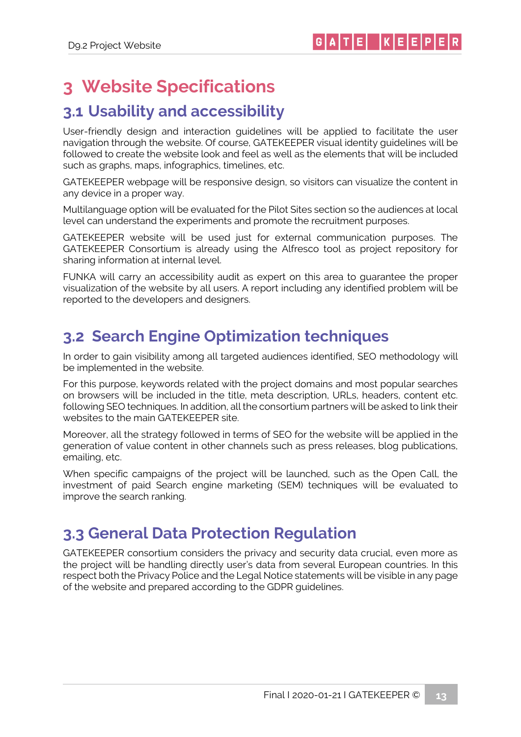## <span id="page-12-0"></span>**3 Website Specifications**

#### <span id="page-12-1"></span>**3.1 Usability and accessibility**

User-friendly design and interaction guidelines will be applied to facilitate the user navigation through the website. Of course, GATEKEEPER visual identity guidelines will be followed to create the website look and feel as well as the elements that will be included such as graphs, maps, infographics, timelines, etc.

GATEKEEPER webpage will be responsive design, so visitors can visualize the content in any device in a proper way.

Multilanguage option will be evaluated for the Pilot Sites section so the audiences at local level can understand the experiments and promote the recruitment purposes.

GATEKEEPER website will be used just for external communication purposes. The GATEKEEPER Consortium is already using the Alfresco tool as project repository for sharing information at internal level.

FUNKA will carry an accessibility audit as expert on this area to guarantee the proper visualization of the website by all users. A report including any identified problem will be reported to the developers and designers.

#### <span id="page-12-2"></span>**3.2 Search Engine Optimization techniques**

In order to gain visibility among all targeted audiences identified, SEO methodology will be implemented in the website.

For this purpose, keywords related with the project domains and most popular searches on browsers will be included in the title, meta description, URLs, headers, content etc. following SEO techniques. In addition, all the consortium partners will be asked to link their websites to the main GATEKEEPER site.

Moreover, all the strategy followed in terms of SEO for the website will be applied in the generation of value content in other channels such as press releases, blog publications, emailing, etc.

When specific campaigns of the project will be launched, such as the Open Call, the investment of paid Search engine marketing (SEM) techniques will be evaluated to improve the search ranking.

#### <span id="page-12-3"></span>**3.3 General Data Protection Regulation**

GATEKEEPER consortium considers the privacy and security data crucial, even more as the project will be handling directly user's data from several European countries. In this respect both the Privacy Police and the Legal Notice statements will be visible in any page of the website and prepared according to the GDPR guidelines.